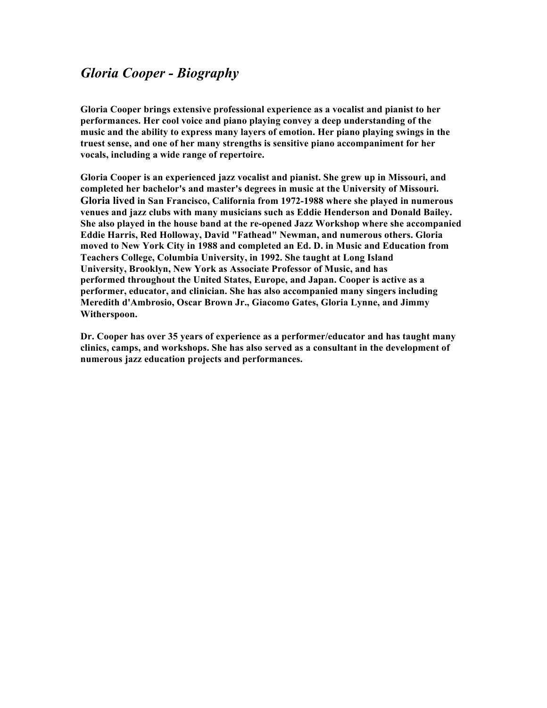# *Gloria Cooper - Biography*

**Gloria Cooper brings extensive professional experience as a vocalist and pianist to her performances. Her cool voice and piano playing convey a deep understanding of the music and the ability to express many layers of emotion. Her piano playing swings in the truest sense, and one of her many strengths is sensitive piano accompaniment for her vocals, including a wide range of repertoire.**

**Gloria Cooper is an experienced jazz vocalist and pianist. She grew up in Missouri, and completed her bachelor's and master's degrees in music at the University of Missouri. Gloria lived in San Francisco, California from 1972-1988 where she played in numerous venues and jazz clubs with many musicians such as Eddie Henderson and Donald Bailey. She also played in the house band at the re-opened Jazz Workshop where she accompanied Eddie Harris, Red Holloway, David "Fathead" Newman, and numerous others. Gloria moved to New York City in 1988 and completed an Ed. D. in Music and Education from Teachers College, Columbia University, in 1992. She taught at Long Island University, Brooklyn, New York as Associate Professor of Music, and has performed throughout the United States, Europe, and Japan. Cooper is active as a performer, educator, and clinician. She has also accompanied many singers including Meredith d'Ambrosio, Oscar Brown Jr., Giacomo Gates, Gloria Lynne, and Jimmy Witherspoon.**

**Dr. Cooper has over 35 years of experience as a performer/educator and has taught many clinics, camps, and workshops. She has also served as a consultant in the development of numerous jazz education projects and performances.**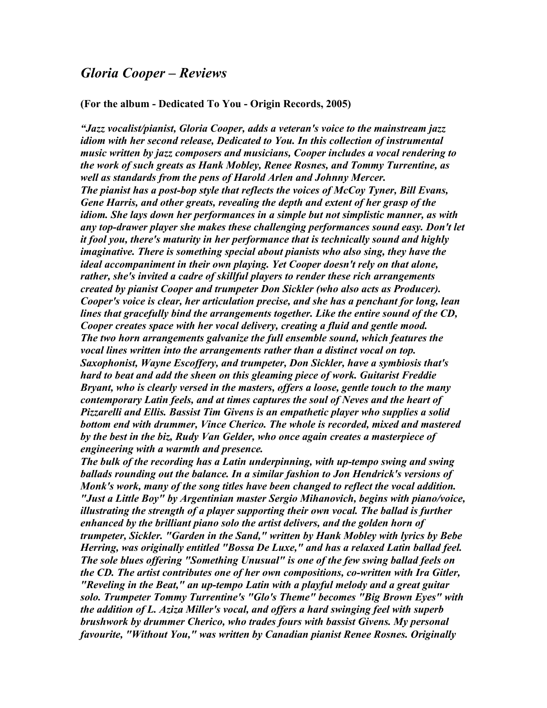#### *Gloria Cooper – Reviews*

#### **(For the album - Dedicated To You - Origin Records, 2005)**

*"Jazz vocalist/pianist, Gloria Cooper, adds a veteran's voice to the mainstream jazz idiom with her second release, Dedicated to You. In this collection of instrumental music written by jazz composers and musicians, Cooper includes a vocal rendering to the work of such greats as Hank Mobley, Renee Rosnes, and Tommy Turrentine, as well as standards from the pens of Harold Arlen and Johnny Mercer. The pianist has a post-bop style that reflects the voices of McCoy Tyner, Bill Evans, Gene Harris, and other greats, revealing the depth and extent of her grasp of the idiom. She lays down her performances in a simple but not simplistic manner, as with any top-drawer player she makes these challenging performances sound easy. Don't let it fool you, there's maturity in her performance that is technically sound and highly imaginative. There is something special about pianists who also sing, they have the ideal accompaniment in their own playing. Yet Cooper doesn't rely on that alone, rather, she's invited a cadre of skillful players to render these rich arrangements created by pianist Cooper and trumpeter Don Sickler (who also acts as Producer). Cooper's voice is clear, her articulation precise, and she has a penchant for long, lean lines that gracefully bind the arrangements together. Like the entire sound of the CD, Cooper creates space with her vocal delivery, creating a fluid and gentle mood. The two horn arrangements galvanize the full ensemble sound, which features the vocal lines written into the arrangements rather than a distinct vocal on top. Saxophonist, Wayne Escoffery, and trumpeter, Don Sickler, have a symbiosis that's hard to beat and add the sheen on this gleaming piece of work. Guitarist Freddie Bryant, who is clearly versed in the masters, offers a loose, gentle touch to the many contemporary Latin feels, and at times captures the soul of Neves and the heart of Pizzarelli and Ellis. Bassist Tim Givens is an empathetic player who supplies a solid bottom end with drummer, Vince Cherico. The whole is recorded, mixed and mastered by the best in the biz, Rudy Van Gelder, who once again creates a masterpiece of engineering with a warmth and presence.*

*The bulk of the recording has a Latin underpinning, with up-tempo swing and swing ballads rounding out the balance. In a similar fashion to Jon Hendrick's versions of Monk's work, many of the song titles have been changed to reflect the vocal addition. "Just a Little Boy" by Argentinian master Sergio Mihanovich, begins with piano/voice, illustrating the strength of a player supporting their own vocal. The ballad is further enhanced by the brilliant piano solo the artist delivers, and the golden horn of trumpeter, Sickler. "Garden in the Sand," written by Hank Mobley with lyrics by Bebe Herring, was originally entitled "Bossa De Luxe," and has a relaxed Latin ballad feel. The sole blues offering "Something Unusual" is one of the few swing ballad feels on the CD. The artist contributes one of her own compositions, co-written with Ira Gitler, "Reveling in the Beat," an up-tempo Latin with a playful melody and a great guitar solo. Trumpeter Tommy Turrentine's "Glo's Theme" becomes "Big Brown Eyes" with the addition of L. Aziza Miller's vocal, and offers a hard swinging feel with superb brushwork by drummer Cherico, who trades fours with bassist Givens. My personal favourite, "Without You," was written by Canadian pianist Renee Rosnes. Originally*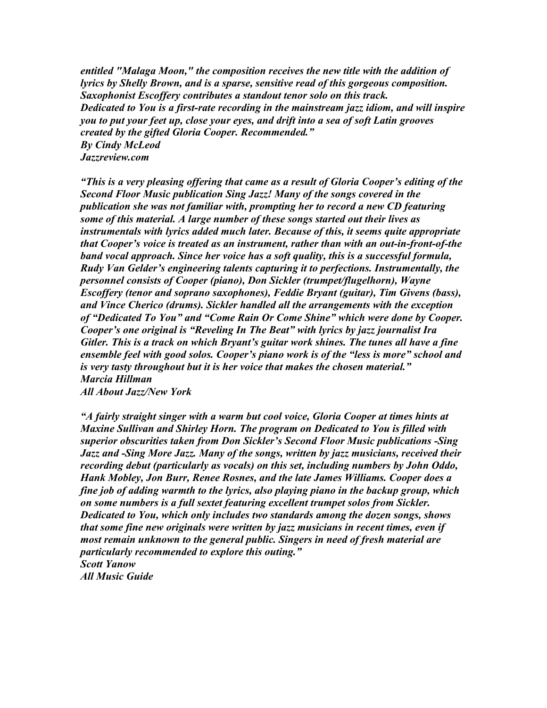*entitled "Malaga Moon," the composition receives the new title with the addition of lyrics by Shelly Brown, and is a sparse, sensitive read of this gorgeous composition. Saxophonist Escoffery contributes a standout tenor solo on this track. Dedicated to You is a first-rate recording in the mainstream jazz idiom, and will inspire you to put your feet up, close your eyes, and drift into a sea of soft Latin grooves created by the gifted Gloria Cooper. Recommended." By Cindy McLeod Jazzreview.com*

*"This is a very pleasing offering that came as a result of Gloria Cooper's editing of the Second Floor Music publication Sing Jazz! Many of the songs covered in the publication she was not familiar with, prompting her to record a new CD featuring some of this material. A large number of these songs started out their lives as instrumentals with lyrics added much later. Because of this, it seems quite appropriate that Cooper's voice is treated as an instrument, rather than with an out-in-front-of-the band vocal approach. Since her voice has a soft quality, this is a successful formula, Rudy Van Gelder's engineering talents capturing it to perfections. Instrumentally, the personnel consists of Cooper (piano), Don Sickler (trumpet/flugelhorn), Wayne Escoffery (tenor and soprano saxophones), Feddie Bryant (guitar), Tim Givens (bass), and Vince Cherico (drums). Sickler handled all the arrangements with the exception of "Dedicated To You" and "Come Rain Or Come Shine" which were done by Cooper. Cooper's one original is "Reveling In The Beat" with lyrics by jazz journalist Ira Gitler. This is a track on which Bryant's guitar work shines. The tunes all have a fine ensemble feel with good solos. Cooper's piano work is of the "less is more" school and is very tasty throughout but it is her voice that makes the chosen material." Marcia Hillman All About Jazz/New York*

*"A fairly straight singer with a warm but cool voice, Gloria Cooper at times hints at Maxine Sullivan and Shirley Horn. The program on Dedicated to You is filled with superior obscurities taken from Don Sickler's Second Floor Music publications -Sing Jazz and -Sing More Jazz. Many of the songs, written by jazz musicians, received their recording debut (particularly as vocals) on this set, including numbers by John Oddo, Hank Mobley, Jon Burr, Renee Rosnes, and the late James Williams. Cooper does a fine job of adding warmth to the lyrics, also playing piano in the backup group, which on some numbers is a full sextet featuring excellent trumpet solos from Sickler. Dedicated to You, which only includes two standards among the dozen songs, shows that some fine new originals were written by jazz musicians in recent times, even if most remain unknown to the general public. Singers in need of fresh material are particularly recommended to explore this outing." Scott Yanow All Music Guide*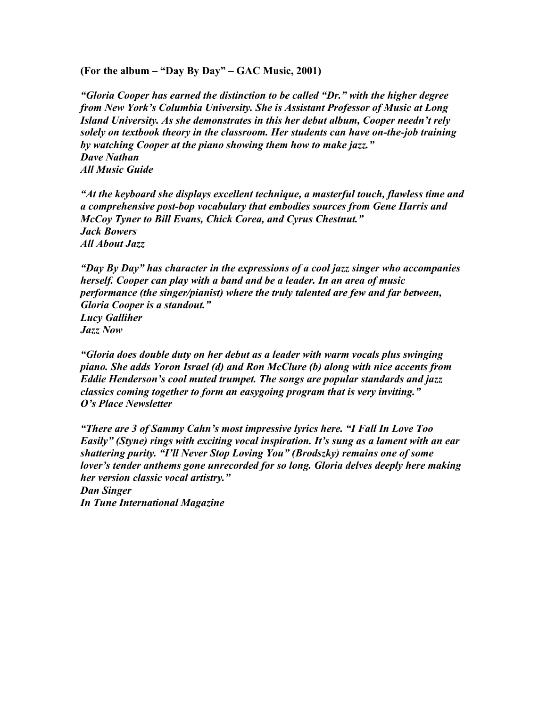**(For the album – "Day By Day" – GAC Music, 2001)**

*"Gloria Cooper has earned the distinction to be called "Dr." with the higher degree from New York's Columbia University. She is Assistant Professor of Music at Long Island University. As she demonstrates in this her debut album, Cooper needn't rely solely on textbook theory in the classroom. Her students can have on-the-job training by watching Cooper at the piano showing them how to make jazz." Dave Nathan All Music Guide*

*"At the keyboard she displays excellent technique, a masterful touch, flawless time and a comprehensive post-bop vocabulary that embodies sources from Gene Harris and McCoy Tyner to Bill Evans, Chick Corea, and Cyrus Chestnut." Jack Bowers All About Jazz*

*"Day By Day" has character in the expressions of a cool jazz singer who accompanies herself. Cooper can play with a band and be a leader. In an area of music performance (the singer/pianist) where the truly talented are few and far between, Gloria Cooper is a standout." Lucy Galliher Jazz Now*

*"Gloria does double duty on her debut as a leader with warm vocals plus swinging piano. She adds Yoron Israel (d) and Ron McClure (b) along with nice accents from Eddie Henderson's cool muted trumpet. The songs are popular standards and jazz classics coming together to form an easygoing program that is very inviting." O's Place Newsletter*

*"There are 3 of Sammy Cahn's most impressive lyrics here. "I Fall In Love Too Easily" (Styne) rings with exciting vocal inspiration. It's sung as a lament with an ear shattering purity. "I'll Never Stop Loving You" (Brodszky) remains one of some lover's tender anthems gone unrecorded for so long. Gloria delves deeply here making her version classic vocal artistry." Dan Singer*

*In Tune International Magazine*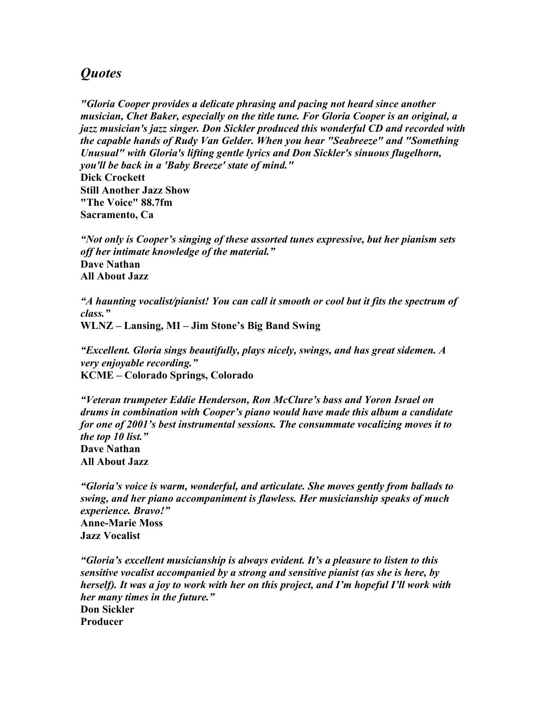### *Quotes*

*"Gloria Cooper provides a delicate phrasing and pacing not heard since another musician, Chet Baker, especially on the title tune. For Gloria Cooper is an original, a jazz musician's jazz singer. Don Sickler produced this wonderful CD and recorded with the capable hands of Rudy Van Gelder. When you hear "Seabreeze" and "Something Unusual" with Gloria's lifting gentle lyrics and Don Sickler's sinuous flugelhorn, you'll be back in a 'Baby Breeze' state of mind."*

**Dick Crockett Still Another Jazz Show "The Voice" 88.7fm Sacramento, Ca**

*"Not only is Cooper's singing of these assorted tunes expressive, but her pianism sets off her intimate knowledge of the material."* **Dave Nathan All About Jazz**

*"A haunting vocalist/pianist! You can call it smooth or cool but it fits the spectrum of class."* **WLNZ – Lansing, MI – Jim Stone's Big Band Swing**

*"Excellent. Gloria sings beautifully, plays nicely, swings, and has great sidemen. A very enjoyable recording."* **KCME – Colorado Springs, Colorado**

*"Veteran trumpeter Eddie Henderson, Ron McClure's bass and Yoron Israel on drums in combination with Cooper's piano would have made this album a candidate for one of 2001's best instrumental sessions. The consummate vocalizing moves it to the top 10 list."* **Dave Nathan All About Jazz**

*"Gloria's voice is warm, wonderful, and articulate. She moves gently from ballads to swing, and her piano accompaniment is flawless. Her musicianship speaks of much experience. Bravo!"* **Anne-Marie Moss Jazz Vocalist**

*"Gloria's excellent musicianship is always evident. It's a pleasure to listen to this sensitive vocalist accompanied by a strong and sensitive pianist (as she is here, by herself). It was a joy to work with her on this project, and I'm hopeful I'll work with her many times in the future."* **Don Sickler Producer**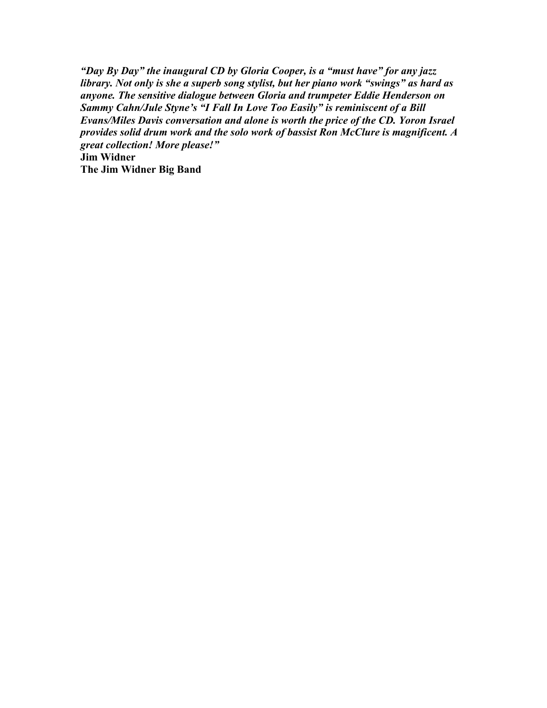*"Day By Day" the inaugural CD by Gloria Cooper, is a "must have" for any jazz library. Not only is she a superb song stylist, but her piano work "swings" as hard as anyone. The sensitive dialogue between Gloria and trumpeter Eddie Henderson on Sammy Cahn/Jule Styne's "I Fall In Love Too Easily" is reminiscent of a Bill Evans/Miles Davis conversation and alone is worth the price of the CD. Yoron Israel provides solid drum work and the solo work of bassist Ron McClure is magnificent. A great collection! More please!"* **Jim Widner The Jim Widner Big Band**